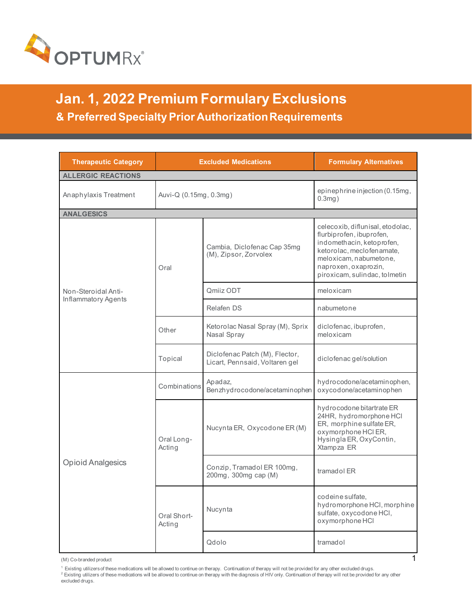

**Jan. 1, 2022 Premium Formulary Exclusions & Preferred Specialty Prior Authorization Requirements** 

| <b>Therapeutic Category</b> | <b>Excluded Medications</b> |                                                                  | <b>Formulary Alternatives</b>                                                                                                                                                                             |
|-----------------------------|-----------------------------|------------------------------------------------------------------|-----------------------------------------------------------------------------------------------------------------------------------------------------------------------------------------------------------|
| <b>ALLERGIC REACTIONS</b>   |                             |                                                                  |                                                                                                                                                                                                           |
| Anaphylaxis Treatment       | Auvi-Q (0.15mg, 0.3mg)      |                                                                  | epinephrine injection (0.15mg,<br>$0.3mg$ )                                                                                                                                                               |
| <b>ANALGESICS</b>           |                             |                                                                  |                                                                                                                                                                                                           |
|                             | Oral                        | Cambia, Diclofenac Cap 35mg<br>(M), Zipsor, Zorvolex             | celecoxib, diflunisal, etodolac,<br>flurbiprofen, ibuprofen,<br>indomethacin, ketoprofen,<br>ketorolac, meclofenamate,<br>meloxicam, nabumetone,<br>naproxen, oxaprozin,<br>piroxicam, sulindac, tolmetin |
| Non-Steroidal Anti-         |                             | Qmiiz ODT                                                        | meloxicam                                                                                                                                                                                                 |
| Inflammatory Agents         |                             | Relafen DS                                                       | nabumetone                                                                                                                                                                                                |
|                             | Other                       | Ketorolac Nasal Spray (M), Sprix<br>Nasal Spray                  | diclofenac, ibuprofen,<br>meloxicam                                                                                                                                                                       |
|                             | Topical                     | Diclofenac Patch (M), Flector,<br>Licart, Pennsaid, Voltaren gel | diclofenac gel/solution                                                                                                                                                                                   |
| <b>Opioid Analgesics</b>    | Combinations                | Apadaz,<br>Benzhydrocodone/acetaminophen                         | hydrocodone/acetaminophen,<br>oxycodone/acetaminophen                                                                                                                                                     |
|                             | Oral Long-<br>Acting        | Nucynta ER, Oxycodone ER (M)                                     | hydrocodone bitartrate ER<br>24HR, hydromorphone HCI<br>ER, morphine sulfate ER,<br>oxymorphone HCI ER,<br>Hysingla ER, OxyContin,<br>Xtampza ER                                                          |
|                             |                             | Conzip, Tramadol ER 100mg,<br>200mg, 300mg cap (M)               | tramadol ER                                                                                                                                                                                               |
|                             | Oral Short-<br>Acting       | Nucynta                                                          | codeine sulfate,<br>hydromorphone HCI, morphine<br>sulfate, oxycodone HCI,<br>oxymorphone HCI                                                                                                             |
|                             |                             | Qdolo                                                            | tramadol                                                                                                                                                                                                  |

(M) Co-branded product<br><sup>1</sup> Existing utilizers of these medications will be allowed to continue on therapy . Continuation of therapy will not be provided for any other excluded drugs.<br><sup>2</sup> Existing utilizers of these medica excluded drugs.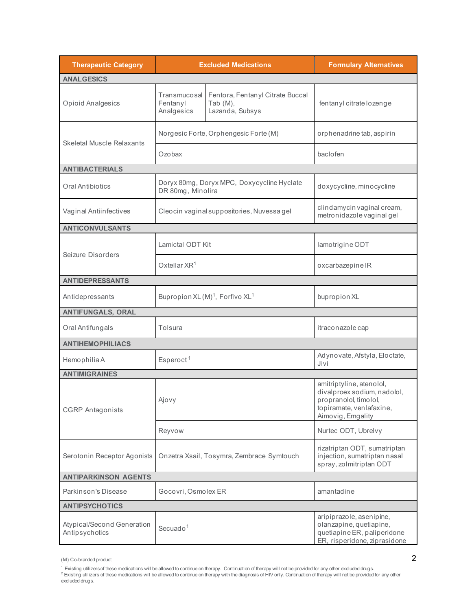| <b>Therapeutic Category</b>                  |                                                         | <b>Excluded Medications</b>                                        | <b>Formulary Alternatives</b>                                                                                                     |
|----------------------------------------------|---------------------------------------------------------|--------------------------------------------------------------------|-----------------------------------------------------------------------------------------------------------------------------------|
| <b>ANALGESICS</b>                            |                                                         |                                                                    |                                                                                                                                   |
| Opioid Analgesics                            | Transmucosal<br>Fentanyl<br>Analgesics                  | Fentora, Fentanyl Citrate Buccal<br>Tab $(M)$ ,<br>Lazanda, Subsys | fentanyl citrate lozenge                                                                                                          |
| <b>Skeletal Muscle Relaxants</b>             |                                                         | Norgesic Forte, Orphengesic Forte (M)                              | orphenadrine tab, aspirin                                                                                                         |
|                                              | Ozobax                                                  |                                                                    | baclofen                                                                                                                          |
| <b>ANTIBACTERIALS</b>                        |                                                         |                                                                    |                                                                                                                                   |
| Oral Antibiotics                             | DR 80mg, Minolira                                       | Doryx 80mg, Doryx MPC, Doxycycline Hyclate                         | doxycycline, minocycline                                                                                                          |
| Vaginal Antiinfectives                       |                                                         | Cleocin vaginal suppositories, Nuvessagel                          | clindamycin vaginal cream,<br>metronidazole vaginal gel                                                                           |
| <b>ANTICONVULSANTS</b>                       |                                                         |                                                                    |                                                                                                                                   |
| Seizure Disorders                            | Lamictal ODT Kit                                        |                                                                    | lamotrigine ODT                                                                                                                   |
|                                              | Oxtellar $XR^1$                                         |                                                                    | oxcarbazepine IR                                                                                                                  |
| <b>ANTIDEPRESSANTS</b>                       |                                                         |                                                                    |                                                                                                                                   |
| Antidepressants                              | Bupropion XL (M) <sup>1</sup> , Forfivo XL <sup>1</sup> |                                                                    | bupropion XL                                                                                                                      |
| <b>ANTIFUNGALS, ORAL</b>                     |                                                         |                                                                    |                                                                                                                                   |
| Oral Antifungals                             | Tolsura                                                 |                                                                    | itraconazole cap                                                                                                                  |
| <b>ANTIHEMOPHILIACS</b>                      |                                                         |                                                                    |                                                                                                                                   |
| Hemophilia A                                 | Esperoct <sup>1</sup>                                   |                                                                    | Adynovate, Afstyla, Eloctate,<br>Jivi                                                                                             |
| <b>ANTIMIGRAINES</b>                         |                                                         |                                                                    |                                                                                                                                   |
| <b>CGRP</b> Antagonists                      | Ajovy                                                   |                                                                    | amitriptyline, atenolol,<br>divalproex sodium, nadolol,<br>propranolol, timolol,<br>topiramate, venlafaxine,<br>Aimovig, Emgality |
|                                              | Reyvow                                                  |                                                                    | Nurtec ODT, Ubrelvy                                                                                                               |
| Serotonin Receptor Agonists                  |                                                         | Onzetra Xsail, Tosymra, Zembrace Symtouch                          | rizatriptan ODT, sumatriptan<br>injection, sumatriptan nasal<br>spray, zolmitriptan ODT                                           |
| <b>ANTIPARKINSON AGENTS</b>                  |                                                         |                                                                    |                                                                                                                                   |
| Parkinson's Disease                          | Gocovri, Osmolex ER                                     |                                                                    | amantadine                                                                                                                        |
| <b>ANTIPSYCHOTICS</b>                        |                                                         |                                                                    |                                                                                                                                   |
| Atypical/Second Generation<br>Antipsychotics | Secuado <sup>1</sup>                                    |                                                                    | aripiprazole, asenipine,<br>olanzapine, quetiapine,<br>quetiapine ER, paliperidone<br>ER, risperidone, ziprasidone                |

<sup>(</sup>M) Co-branded product 2

<sup>1</sup> Existing utilizersof these medications wil be allowed to continue on therapy. Continuation of therapy will not be provided for any other excluded drugs.<br><sup>2</sup> Existing utilizers of these medications will be allowed to c excluded drugs.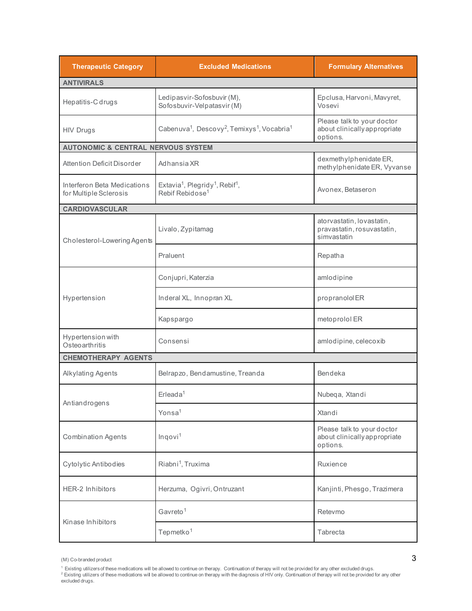| <b>Therapeutic Category</b>                           | <b>Excluded Medications</b>                                                                        | <b>Formulary Alternatives</b>                                          |  |  |
|-------------------------------------------------------|----------------------------------------------------------------------------------------------------|------------------------------------------------------------------------|--|--|
| <b>ANTIVIRALS</b>                                     |                                                                                                    |                                                                        |  |  |
| Hepatitis-C drugs                                     | Ledipasvir-Sofosbuvir (M),<br>Sofosbuvir-Velpatasvir (M)                                           | Epclusa, Harvoni, Mavyret,<br>Vosevi                                   |  |  |
| <b>HIV Drugs</b>                                      | Cabenuva <sup>1</sup> , Descovy <sup>2</sup> , Temixys <sup>1</sup> , Vocabria <sup>1</sup>        | Please talk to your doctor<br>about clinically appropriate<br>options. |  |  |
| <b>AUTONOMIC &amp; CENTRAL NERVOUS SYSTEM</b>         |                                                                                                    |                                                                        |  |  |
| Attention Deficit Disorder                            | Adhansia XR                                                                                        | dexmethylphenidate ER,<br>methylphenidate ER, Vyvanse                  |  |  |
| Interferon Beta Medications<br>for Multiple Sclerosis | Extavia <sup>1</sup> , Plegridy <sup>1</sup> , Rebif <sup>1</sup> ,<br>Rebif Rebidose <sup>1</sup> | Avonex, Betaseron                                                      |  |  |
| <b>CARDIOVASCULAR</b>                                 |                                                                                                    |                                                                        |  |  |
| Cholesterol-Lowering Agents                           | Livalo, Zypitamag                                                                                  | atorvastatin, lovastatin,<br>pravastatin, rosuvastatin,<br>simvastatin |  |  |
|                                                       | Praluent                                                                                           | Repatha                                                                |  |  |
|                                                       | Conjupri, Katerzia                                                                                 | amlodipine                                                             |  |  |
| Hypertension                                          | Inderal XL, Innopran XL                                                                            | propranololER                                                          |  |  |
|                                                       | Kapspargo                                                                                          | metoprolol ER                                                          |  |  |
| Hypertension with<br>Osteoarthritis                   | Consensi                                                                                           | amlodipine, celecoxib                                                  |  |  |
| <b>CHEMOTHERAPY AGENTS</b>                            |                                                                                                    |                                                                        |  |  |
| Alkylating Agents                                     | Belrapzo, Bendamustine, Treanda                                                                    | Bendeka                                                                |  |  |
| Antiandrogens                                         | $E$ rleada <sup>1</sup>                                                                            | Nubeqa, Xtandi                                                         |  |  |
|                                                       | Yonsa <sup>1</sup>                                                                                 | Xtandi                                                                 |  |  |
| <b>Combination Agents</b>                             | Ingovi <sup>1</sup>                                                                                | Please talk to your doctor<br>about clinically appropriate<br>options. |  |  |
| Cytolytic Antibodies                                  | Riabni <sup>1</sup> , Truxima                                                                      | Ruxience                                                               |  |  |
| <b>HER-2 Inhibitors</b>                               | Herzuma, Ogivri, Ontruzant                                                                         | Kanjinti, Phesgo, Trazimera                                            |  |  |
|                                                       | Gavreto <sup>1</sup>                                                                               | Retevmo                                                                |  |  |
| Kinase Inhibitors                                     | Tepmetko <sup>1</sup>                                                                              | Tabrecta                                                               |  |  |

(M) Co-branded product 3

<sup>&</sup>lt;sup>1</sup> Existing utilizersof these medications wil be allowed to continue on therapy. Continuation of therapy will not be provided for any other excluded drugs.<br><sup>2</sup> Existing utilizers of these medications will be allowed to c excluded drugs.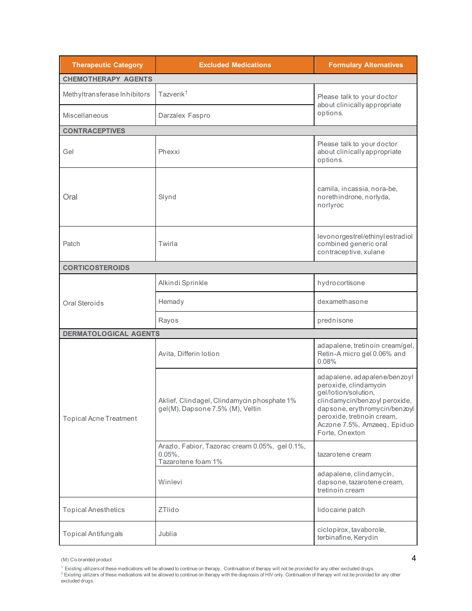| <b>Therapeutic Category</b>   | <b>Excluded Medications</b>                                                       | <b>Formulary Alternatives</b>                                                                                                                                                                                                  |  |
|-------------------------------|-----------------------------------------------------------------------------------|--------------------------------------------------------------------------------------------------------------------------------------------------------------------------------------------------------------------------------|--|
| <b>CHEMOTHERAPY AGENTS</b>    |                                                                                   |                                                                                                                                                                                                                                |  |
| Methyltransferase Inhibitors  | Tazverik <sup>1</sup>                                                             | Please talk to your doctor<br>about clinically appropriate                                                                                                                                                                     |  |
| Miscellaneous                 | Darzalex Faspro                                                                   |                                                                                                                                                                                                                                |  |
| <b>CONTRACEPTIVES</b>         |                                                                                   |                                                                                                                                                                                                                                |  |
| Gel                           | Phexxi                                                                            | Please talk to your doctor<br>about clinically appropriate<br>options.                                                                                                                                                         |  |
| Oral                          | Slynd                                                                             | camila, incassia, nora-be,<br>norethindrone, norlyda,<br>norlyroc                                                                                                                                                              |  |
| Patch                         | Twirla                                                                            | levonorgestrel/ethinylestradiol<br>combined generic oral<br>contraceptive, xulane                                                                                                                                              |  |
| <b>CORTICOSTEROIDS</b>        |                                                                                   |                                                                                                                                                                                                                                |  |
|                               | Alkindi Sprinkle                                                                  | hydrocortisone                                                                                                                                                                                                                 |  |
| Oral Steroids                 | Hemady                                                                            | dexamethasone                                                                                                                                                                                                                  |  |
|                               | Rayos                                                                             | prednisone                                                                                                                                                                                                                     |  |
| <b>DERMATOLOGICAL AGENTS</b>  |                                                                                   |                                                                                                                                                                                                                                |  |
|                               | Avita, Differin lotion                                                            | adapalene, tretinoin cream/gel,<br>Retin-A micro gel 0.06% and<br>0.08%                                                                                                                                                        |  |
| <b>Topical Acne Treatment</b> | Aklief, Clindagel, Clindamycin phosphate 1%<br>gel(M), Dapsone 7.5% (M), Veltin   | adapalene, adapalene/benzoyl<br>peroxide, clindamycin<br>gel/lotion/solution,<br>clindamycin/benzoyl peroxide,<br>dapsone, erythromycin/benzoyl<br>peroxide, tretinoin cream,<br>Aczone 7.5%, Amzeeq, Epiduo<br>Forte, Onexton |  |
|                               | Arazlo, Fabior, Tazorac cream 0.05%, gel 0.1%,<br>$0.05%$ .<br>Tazarotene foam 1% | tazarotene cream                                                                                                                                                                                                               |  |
|                               | Winlevi                                                                           | adapalene, clindamycin,<br>dapsone, tazarotene cream,<br>tretinoin cream                                                                                                                                                       |  |
| <b>Topical Anesthetics</b>    | <b>ZTlido</b>                                                                     | lidocaine patch                                                                                                                                                                                                                |  |
| <b>Topical Antifungals</b>    | Jublia                                                                            | ciclopirox, tavaborole,<br>terbinafine, Kerydin                                                                                                                                                                                |  |

**<sup>4</sup>**<br><sup>1</sup> Existing utilizers of these medications will be allowed to continue on therapy. Continuation of therapy will not be provided for any other excluded drugs.<br><sup>2</sup> Existing utilizers of these medications will be allowe excluded drugs.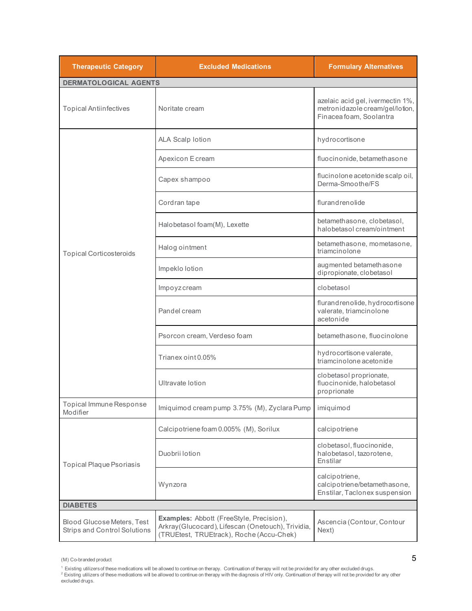| <b>Therapeutic Category</b>                                              | <b>Excluded Medications</b>                                                                                                                | <b>Formulary Alternatives</b>                                                                  |  |
|--------------------------------------------------------------------------|--------------------------------------------------------------------------------------------------------------------------------------------|------------------------------------------------------------------------------------------------|--|
| <b>DERMATOLOGICAL AGENTS</b>                                             |                                                                                                                                            |                                                                                                |  |
| <b>Topical Antiinfectives</b>                                            | Noritate cream                                                                                                                             | azelaic acid gel, ivermectin 1%,<br>metronidazole cream/gel/lotion,<br>Finacea foam, Soolantra |  |
|                                                                          | <b>ALA Scalp lotion</b>                                                                                                                    | hydrocortisone                                                                                 |  |
|                                                                          | Apexicon Ecream                                                                                                                            | fluocinonide, betamethasone                                                                    |  |
|                                                                          | Capex shampoo                                                                                                                              | flucinolone acetonide scalp oil,<br>Derma-Smoothe/FS                                           |  |
|                                                                          | Cordran tape                                                                                                                               | flurandrenolide                                                                                |  |
|                                                                          | Halobetasol foam(M), Lexette                                                                                                               | betamethasone, clobetasol,<br>halobetasol cream/ointment                                       |  |
| <b>Topical Corticosteroids</b>                                           | Halog ointment                                                                                                                             | betamethasone, mometasone,<br>triamcinolone                                                    |  |
|                                                                          | Impeklo lotion                                                                                                                             | augmented betamethasone<br>dipropionate, clobetasol                                            |  |
|                                                                          | Impoyzcream                                                                                                                                | clobetasol                                                                                     |  |
|                                                                          | Pandel cream                                                                                                                               | flurandrenolide, hydrocortisone<br>valerate, triamcinolone<br>acetonide                        |  |
|                                                                          | Psorcon cream, Verdeso foam                                                                                                                | betamethasone, fluocinolone                                                                    |  |
|                                                                          | Trianex oint 0.05%                                                                                                                         | hydrocortisone valerate,<br>triamcinolone acetonide                                            |  |
|                                                                          | Ultravate lotion                                                                                                                           | clobetasol proprionate,<br>fluocinonide, halobetasol<br>proprionate                            |  |
| Topical Immune Response<br>Modifier                                      | Imiquimod cream pump 3.75% (M), Zyclara Pump                                                                                               | imiquimod                                                                                      |  |
|                                                                          | Calcipotriene foam 0.005% (M), Sorilux                                                                                                     | calcipotriene                                                                                  |  |
| Topical Plaque Psoriasis                                                 | Duobrii lotion                                                                                                                             | clobetasol, fluocinonide,<br>halobetasol, tazorotene,<br>Enstilar                              |  |
|                                                                          | Wynzora                                                                                                                                    | calcipotriene,<br>calcipotriene/betamethasone,<br>Enstilar, Taclonex suspension                |  |
| <b>DIABETES</b>                                                          |                                                                                                                                            |                                                                                                |  |
| <b>Blood Glucose Meters, Test</b><br><b>Strips and Control Solutions</b> | Examples: Abbott (FreeStyle, Precision),<br>Arkray (Glucocard), Lifescan (Onetouch), Trividia,<br>(TRUEtest, TRUEtrack), Roche (Accu-Chek) | Ascencia (Contour, Contour<br>Next)                                                            |  |

 $(M)$  Co-branded product  $5$ 

<sup>1</sup> Existing utilizersof these medications wil be allowed to continue on therapy. Continuation of therapy will not be provided for any other excluded drugs.<br><sup>2</sup> Existing utilizers of these medications will be allowed to c excluded drugs.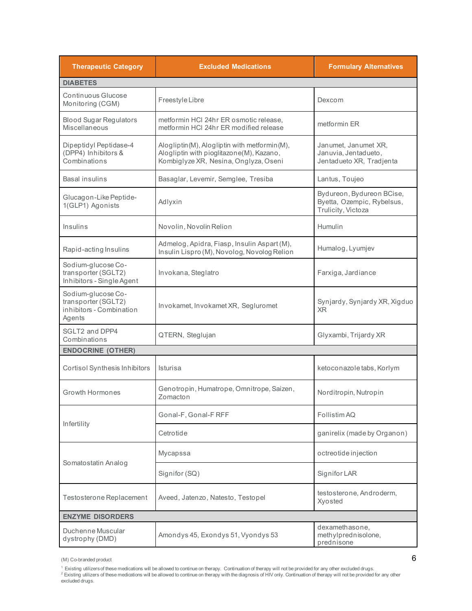| <b>Therapeutic Category</b>                                                     | <b>Excluded Medications</b>                                                                                                       | <b>Formulary Alternatives</b>                                                 |
|---------------------------------------------------------------------------------|-----------------------------------------------------------------------------------------------------------------------------------|-------------------------------------------------------------------------------|
| <b>DIABETES</b>                                                                 |                                                                                                                                   |                                                                               |
| Continuous Glucose<br>Monitoring (CGM)                                          | Freestyle Libre                                                                                                                   | Dexcom                                                                        |
| <b>Blood Sugar Regulators</b><br>Miscellaneous                                  | metformin HCI 24hr ER osmotic release,<br>metformin HCI 24hr ER modified release                                                  | metformin ER                                                                  |
| Dipeptidyl Peptidase-4<br>(DPP4) Inhibitors &<br>Combinations                   | Alogliptin(M), Alogliptin with metformin(M),<br>Alogliptin with pioglitazone(M), Kazano,<br>Kombiglyze XR, Nesina, Onglyza, Oseni | Janumet, Janumet XR,<br>Januvia, Jentadueto,<br>Jentadueto XR, Tradjenta      |
| Basal insulins                                                                  | Basaglar, Levemir, Semglee, Tresiba                                                                                               | Lantus, Toujeo                                                                |
| Glucagon-Like Peptide-<br>1(GLP1) Agonists                                      | Adlyxin                                                                                                                           | Bydureon, Bydureon BCise,<br>Byetta, Ozempic, Rybelsus,<br>Trulicity, Victoza |
| Insulins                                                                        | Novolin, Novolin Relion                                                                                                           | Humulin                                                                       |
| Rapid-acting Insulins                                                           | Admelog, Apidra, Fiasp, Insulin Aspart (M),<br>Insulin Lispro (M), Novolog, Novolog Relion                                        | Humalog, Lyumjev                                                              |
| Sodium-glucose Co-<br>transporter (SGLT2)<br>Inhibitors - Single Agent          | Invokana, Steglatro                                                                                                               | Farxiga, Jardiance                                                            |
| Sodium-glucose Co-<br>transporter (SGLT2)<br>inhibitors - Combination<br>Agents | Invokamet, Invokamet XR, Segluromet                                                                                               | Synjardy, Synjardy XR, Xigduo<br>XR.                                          |
| SGLT2 and DPP4<br>Combinations                                                  | QTERN, Steglujan                                                                                                                  | Glyxambi, Trijardy XR                                                         |
| <b>ENDOCRINE (OTHER)</b>                                                        |                                                                                                                                   |                                                                               |
| <b>Cortisol Synthesis Inhibitors</b>                                            | Isturisa                                                                                                                          | ketoconazole tabs, Korlym                                                     |
| Growth Hormones                                                                 | Genotropin, Humatrope, Omnitrope, Saizen,<br>Zomacton                                                                             | Norditropin, Nutropin                                                         |
|                                                                                 | Gonal-F, Gonal-F RFF                                                                                                              | Follistim AQ                                                                  |
| Infertility                                                                     | Cetrotide                                                                                                                         | ganirelix (made by Organon)                                                   |
|                                                                                 | Mycapssa                                                                                                                          | octreotide injection                                                          |
| Somatostatin Analog                                                             | Signifor (SQ)                                                                                                                     | Signifor LAR                                                                  |
| Testosterone Replacement                                                        | Aveed, Jatenzo, Natesto, Testopel                                                                                                 | testosterone, Androderm,<br>Xyosted                                           |
| <b>ENZYME DISORDERS</b>                                                         |                                                                                                                                   |                                                                               |
| Duchenne Muscular<br>dystrophy (DMD)                                            | Amondys 45, Exondys 51, Vyondys 53                                                                                                | dexamethasone,<br>methylprednisolone,<br>prednisone                           |

<sup>(</sup>M) Co-branded product 6

<sup>&</sup>lt;sup>1</sup> Existing utilizersof these medications wil be allowed to continue on therapy. Continuation of therapy will not be provided for any other excluded drugs.<br><sup>2</sup> Existing utilizers of these medications will be allowed to c excluded drugs.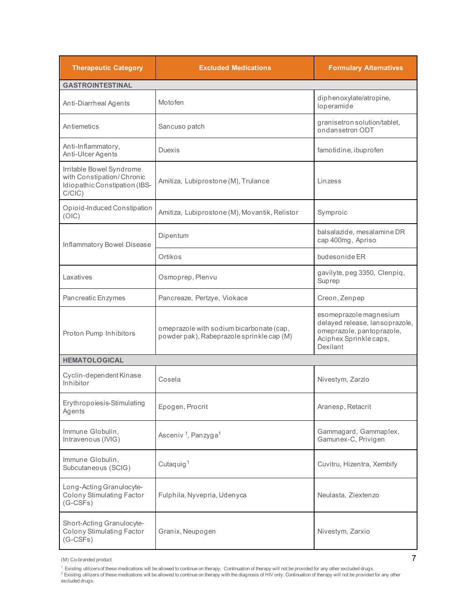| <b>Therapeutic Category</b>                                                                         | <b>Excluded Medications</b>                                                           | <b>Formulary Alternatives</b>                                                                                               |
|-----------------------------------------------------------------------------------------------------|---------------------------------------------------------------------------------------|-----------------------------------------------------------------------------------------------------------------------------|
| <b>GASTROINTESTINAL</b>                                                                             |                                                                                       |                                                                                                                             |
| Anti-Diarrheal Agents                                                                               | Motofen                                                                               | diphenoxylate/atropine,<br>loperamide                                                                                       |
| Antiemetics                                                                                         | Sancuso patch                                                                         | granisetron solution/tablet,<br>ondansetron ODT                                                                             |
| Anti-Inflammatory,<br>Anti-Ulcer Agents                                                             | <b>Duexis</b>                                                                         | famotidine, ibuprofen                                                                                                       |
| Irritable Bowel Syndrome<br>with Constipation/Chronic<br>Idiopathic Constipation (IBS-<br>$C/CIC$ ) | Amitiza, Lubiprostone (M), Trulance                                                   | Linzess                                                                                                                     |
| Opioid-Induced Constipation<br>(OIC)                                                                | Amitiza, Lubiprostone (M), Movantik, Relistor                                         | Symproic                                                                                                                    |
| Inflammatory Bowel Disease                                                                          | Dipentum                                                                              | balsalazide, mesalamine DR<br>cap 400mg, Apriso                                                                             |
|                                                                                                     | Ortikos                                                                               | budesonide ER                                                                                                               |
| Laxatives                                                                                           | Osmoprep, Plenvu                                                                      | gavilyte, peg 3350, Clenpiq,<br>Suprep                                                                                      |
| Pancreatic Enzymes                                                                                  | Pancreaze, Pertzye, Viokace                                                           | Creon, Zenpep                                                                                                               |
| Proton Pump Inhibitors                                                                              | omeprazole with sodium bicarbonate (cap,<br>powder pak), Rabeprazole sprinkle cap (M) | esomeprazole magnesium<br>delayed release, lansoprazole,<br>omeprazole, pantoprazole,<br>Aciphex Sprinkle caps,<br>Dexilant |
| <b>HEMATOLOGICAL</b>                                                                                |                                                                                       |                                                                                                                             |
| Cyclin-dependent Kinase<br>Inhibitor                                                                | Cosela                                                                                | Nivestym, Zarzio                                                                                                            |
| Erythropoiesis-Stimulating<br>Agents                                                                | Epogen, Procrit                                                                       | Aranesp, Retacrit                                                                                                           |
| Immune Globulin,<br>Intravenous (IVIG)                                                              | Asceniv <sup>1</sup> , Panzyga <sup>1</sup>                                           | Gammagard, Gammaplex,<br>Gamunex-C, Privigen                                                                                |
| Immune Globulin,<br>Subcutaneous (SCIG)                                                             | Cutaquig <sup>1</sup>                                                                 | Cuvitru, Hizentra, Xembify                                                                                                  |
| Long-Acting Granulocyte-<br>Colony Stimulating Factor<br>$(G-CSFs)$                                 | Fulphila, Nyvepria, Udenyca                                                           | Neulasta, Ziextenzo                                                                                                         |
| Short-Acting Granulocyte-<br>Colony Stimulating Factor<br>$(G-CSFs)$                                | Granix, Neupogen                                                                      | Nivestym, Zarxio                                                                                                            |

<sup>(</sup>M) Co-branded product 7

<sup>&</sup>lt;sup>1</sup> Existing utilizersof these medications wil be allowed to continue on therapy. Continuation of therapy will not be provided for any other excluded drugs.<br><sup>2</sup> Existing utilizers of these medications will be allowed to c

excluded drugs.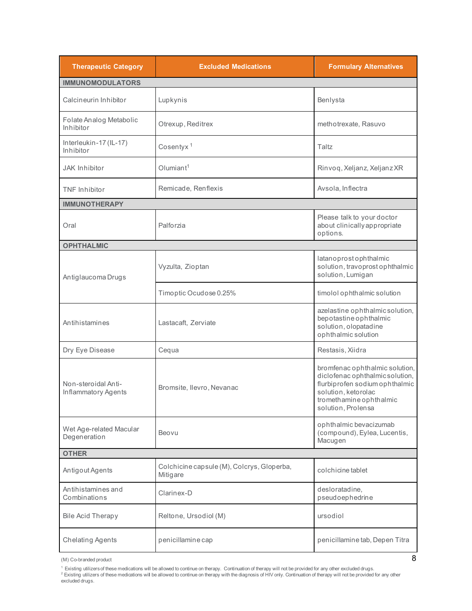| <b>Therapeutic Category</b>                | <b>Excluded Medications</b>                            | <b>Formulary Alternatives</b>                                                                                                                                               |  |
|--------------------------------------------|--------------------------------------------------------|-----------------------------------------------------------------------------------------------------------------------------------------------------------------------------|--|
| <b>IMMUNOMODULATORS</b>                    |                                                        |                                                                                                                                                                             |  |
| Calcineurin Inhibitor                      | Lupkynis                                               | Benlysta                                                                                                                                                                    |  |
| Folate Analog Metabolic<br>Inhibitor       | Otrexup, Reditrex                                      | methotrexate, Rasuvo                                                                                                                                                        |  |
| Interleukin-17 (IL-17)<br>Inhibitor        | Cosentyx <sup>1</sup>                                  | Taltz                                                                                                                                                                       |  |
| <b>JAK Inhibitor</b>                       | Olumiant <sup>1</sup>                                  | Rinvoq, Xeljanz, Xeljanz XR                                                                                                                                                 |  |
| <b>TNF</b> Inhibitor                       | Remicade, Renflexis                                    | Avsola, Inflectra                                                                                                                                                           |  |
| <b>IMMUNOTHERAPY</b>                       |                                                        |                                                                                                                                                                             |  |
| Oral                                       | Palforzia                                              | Please talk to your doctor<br>about clinically appropriate<br>options.                                                                                                      |  |
| <b>OPHTHALMIC</b>                          |                                                        |                                                                                                                                                                             |  |
| Antiglaucoma Drugs                         | Vyzulta, Zioptan                                       | latanoprostophthalmic<br>solution, travoprost ophthalmic<br>solution, Lumigan                                                                                               |  |
|                                            | Timoptic Ocudose 0.25%                                 | timolol ophthalmic solution                                                                                                                                                 |  |
| Antihistamines                             | Lastacaft, Zerviate                                    | azelastine ophthalmicsolution,<br>bepotastine ophthalmic<br>solution, olopatadine<br>ophthalmic solution                                                                    |  |
| Dry Eye Disease                            | Cequa                                                  | Restasis, Xiidra                                                                                                                                                            |  |
| Non-steroidal Anti-<br>Inflammatory Agents | Bromsite, Ilevro, Nevanac                              | bromfenac ophthalmic solution,<br>diclofenac ophthalmic solution,<br>flurbiprofen sodium ophthalmic<br>solution, ketorolac<br>tromethamine ophthalmic<br>solution, Prolensa |  |
| Wet Age-related Macular<br>Degeneration    | Beovu                                                  | ophthalmic bevacizumab<br>(compound), Eylea, Lucentis,<br>Macugen                                                                                                           |  |
| <b>OTHER</b>                               |                                                        |                                                                                                                                                                             |  |
| Antigout Agents                            | Colchicine capsule (M), Colcrys, Gloperba,<br>Mitigare | colchicine tablet                                                                                                                                                           |  |
| Antihistamines and<br>Combinations         | Clarinex-D                                             | desloratadine,<br>pseudoephedrine                                                                                                                                           |  |
| <b>Bile Acid Therapy</b>                   | Reltone, Ursodiol (M)                                  | ursodiol                                                                                                                                                                    |  |
| <b>Chelating Agents</b>                    | penicillamine cap                                      | penicillamine tab, Depen Titra                                                                                                                                              |  |

 $(M)$  Co-branded product  $8$ 

<sup>1</sup> Existing utilizersof these medications wil be allowed to continue on therapy. Continuation of therapy will not be provided for any other excluded drugs.<br><sup>2</sup> Existing utilizers of these medications will be allowed to c excluded drugs.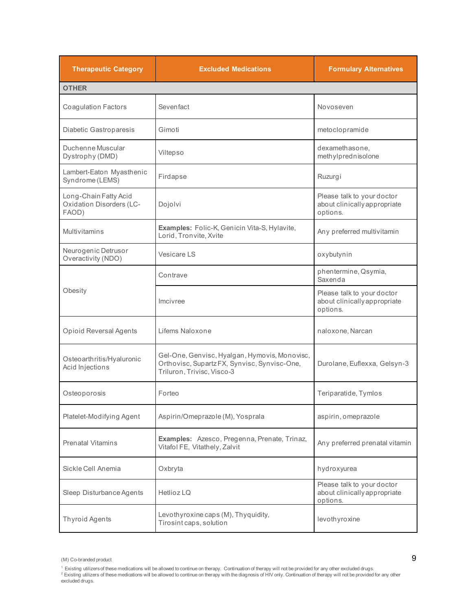| <b>Therapeutic Category</b>                                       | <b>Excluded Medications</b>                                                                                                 | <b>Formulary Alternatives</b>                                          |
|-------------------------------------------------------------------|-----------------------------------------------------------------------------------------------------------------------------|------------------------------------------------------------------------|
| <b>OTHER</b>                                                      |                                                                                                                             |                                                                        |
| <b>Coagulation Factors</b>                                        | Sevenfact                                                                                                                   | Novoseven                                                              |
| Diabetic Gastroparesis                                            | Gimoti                                                                                                                      | metoclopramide                                                         |
| Duchenne Muscular<br>Dystrophy (DMD)                              | Viltepso                                                                                                                    | dexamethasone,<br>methylprednisolone                                   |
| Lambert-Eaton Myasthenic<br>Syndrome (LEMS)                       | Firdapse                                                                                                                    | Ruzurgi                                                                |
| Long-Chain Fatty Acid<br><b>Oxidation Disorders (LC-</b><br>FAOD) | Dojolvi                                                                                                                     | Please talk to your doctor<br>about clinically appropriate<br>options. |
| <b>Multivitamins</b>                                              | Examples: Folic-K, Genicin Vita-S, Hylavite,<br>Lorid, Tronvite, Xvite                                                      | Any preferred multivitamin                                             |
| Neurogenic Detrusor<br>Overactivity (NDO)                         | Vesicare LS                                                                                                                 | oxybutynin                                                             |
|                                                                   | Contrave                                                                                                                    | phentermine, Qsymia,<br>Saxenda                                        |
| Obesity                                                           | Imcivree                                                                                                                    | Please talk to your doctor<br>about clinically appropriate<br>options. |
| <b>Opioid Reversal Agents</b>                                     | Lifems Naloxone                                                                                                             | naloxone, Narcan                                                       |
| Osteo arthritis/Hyaluronic<br>Acid Injections                     | Gel-One, Genvisc, Hyalgan, Hymovis, Monovisc,<br>Orthovisc, Supartz FX, Synvisc, Synvisc-One,<br>Triluron, Trivisc, Visco-3 | Durolane, Euflexxa, Gelsyn-3                                           |
| Osteoporosis                                                      | Forteo                                                                                                                      | Teriparatide, Tymlos                                                   |
| Platelet-Modifying Agent                                          | Aspirin/Omeprazole (M), Yosprala                                                                                            | aspirin, omeprazole                                                    |
| <b>Prenatal Vitamins</b>                                          | Examples: Azesco, Pregenna, Prenate, Trinaz,<br>Vitafol FE, Vitathely, Zalvit                                               | Any preferred prenatal vitamin                                         |
| Sickle Cell Anemia                                                | Oxbryta                                                                                                                     | hydroxyurea                                                            |
| Sleep Disturbance Agents                                          | Hetlioz LQ                                                                                                                  | Please talk to your doctor<br>about clinically appropriate<br>options. |
| Thyroid Agents                                                    | Levothyroxine caps (M), Thyquidity,<br>Tirosint caps, solution                                                              | levothyroxine                                                          |

<sup>(</sup>M) Co-branded product 9

<sup>&</sup>lt;sup>1</sup> Existing utilizersof these medications wil be allowed to continue on therapy. Continuation of therapy will not be provided for any other excluded drugs.<br><sup>2</sup> Existing utilizers of these medications will be allowed to c excluded drugs.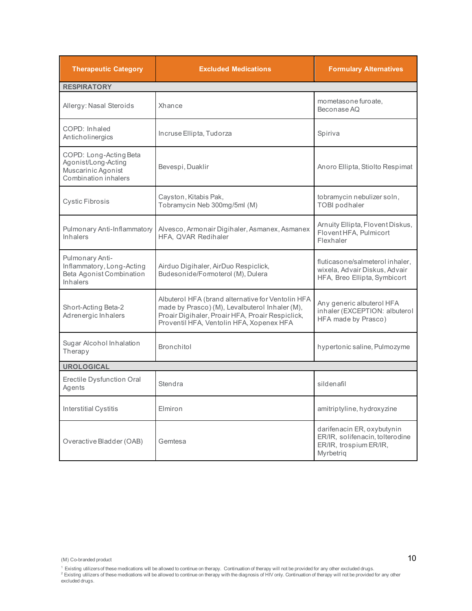| <b>Therapeutic Category</b>                                                                 | <b>Excluded Medications</b>                                                                                                                                                                         | <b>Formulary Alternatives</b>                                                                        |  |
|---------------------------------------------------------------------------------------------|-----------------------------------------------------------------------------------------------------------------------------------------------------------------------------------------------------|------------------------------------------------------------------------------------------------------|--|
| <b>RESPIRATORY</b>                                                                          |                                                                                                                                                                                                     |                                                                                                      |  |
| Allergy: Nasal Steroids                                                                     | Xhance                                                                                                                                                                                              | mometasone furoate,<br>Beconase AQ                                                                   |  |
| COPD: Inhaled<br>Anticholinergics                                                           | Incruse Ellipta, Tudorza                                                                                                                                                                            | Spiriva                                                                                              |  |
| COPD: Long-Acting Beta<br>Agonist/Long-Acting<br>Muscarinic Agonist<br>Combination inhalers | Bevespi, Duaklir                                                                                                                                                                                    | Anoro Ellipta, Stiolto Respimat                                                                      |  |
| Cystic Fibrosis                                                                             | Cayston, Kitabis Pak,<br>Tobramycin Neb 300mg/5ml (M)                                                                                                                                               | tobramycin nebulizer soln,<br><b>TOBI</b> podhaler                                                   |  |
| Pulmonary Anti-Inflammatory<br>Inhalers                                                     | Alvesco, Armonair Digihaler, Asmanex, Asmanex<br>HFA. QVAR Redihaler                                                                                                                                | Arnuity Ellipta, Flovent Diskus,<br>Flovent HFA, Pulmicort<br>Flexhaler                              |  |
| Pulmonary Anti-<br>Inflammatory, Long-Acting<br>Beta Agonist Combination<br>Inhalers        | Airduo Digihaler, AirDuo Respiclick,<br>Budesonide/Formoterol (M), Dulera                                                                                                                           | fluticasone/salmeterol inhaler,<br>wixela, Advair Diskus, Advair<br>HFA, Breo Ellipta, Symbicort     |  |
| Short-Acting Beta-2<br>Adrenergic Inhalers                                                  | Albuterol HFA (brand alternative for Ventolin HFA<br>made by Prasco) (M), Levalbuterol Inhaler (M),<br>Proair Digihaler, Proair HFA, Proair Respiclick,<br>Proventil HFA, Ventolin HFA, Xopenex HFA | Any generic albuterol HFA<br>inhaler (EXCEPTION: albuterol<br>HFA made by Prasco)                    |  |
| Sugar Alcohol Inhalation<br>Therapy                                                         | <b>Bronchitol</b>                                                                                                                                                                                   | hypertonic saline, Pulmozyme                                                                         |  |
| <b>UROLOGICAL</b>                                                                           |                                                                                                                                                                                                     |                                                                                                      |  |
| Erectile Dysfunction Oral<br>Agents                                                         | Stendra                                                                                                                                                                                             | sildenafil                                                                                           |  |
| Interstitial Cystitis                                                                       | Elmiron                                                                                                                                                                                             | amitriptyline, hydroxyzine                                                                           |  |
| Overactive Bladder (OAB)                                                                    | Gemtesa                                                                                                                                                                                             | darifenacin ER, oxybutynin<br>ER/IR, solifenacin, tolterodine<br>ER/IR, trospium ER/IR,<br>Myrbetriq |  |

 $(M)$  Co-branded product  $10$ 

<sup>&</sup>lt;sup>1</sup> Existing utilizersof these medications wil be allowed to continue on therapy. Continuation of therapy will not be provided for any other excluded drugs.<br><sup>2</sup> Existing utilizers of these medications will be allowed to c excluded drugs.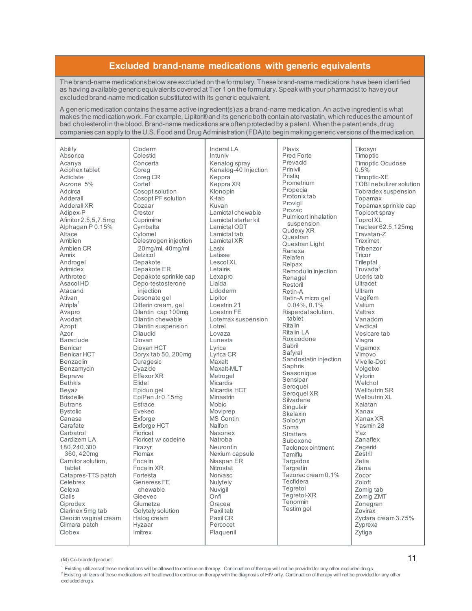## **Excluded brand-name medications with generic equivalents**

The brand-name medications below are excluded on the formulary. These brand-name medications have been identified as having available generic equivalents covered at Tier 1 on the formulary. Speak with your pharmacist to have your excluded brand-name medication substituted with its generic equivalent.

A generic medication contains the same active ingredient(s) as a brand-name medication. An active ingredient is what makes the medication work. For example, Lipitor® and its generic both contain atorvastatin, which reduces the amount of bad cholesterol in the blood. Brand-name medications are often protected by a patent. When the patent ends, drug companies can apply to the U.S. Food and Drug Administration (FDA) to begin making generic versions of the medication.

| Abilify                      |
|------------------------------|
| Absorica                     |
| Acanya                       |
| Aciphex tablet               |
| Acticlate                    |
| Aczone 5%                    |
| Adcirca<br>Adderall          |
| <b>Adderall XR</b>           |
| Adipex-P                     |
| Afinitor 2.5,5,7.5mg         |
| Alphagan P 0.15%             |
| Altace                       |
| Ambien                       |
| Ambien CR                    |
| Amrix                        |
| Androgel                     |
| Arimidex                     |
| Arthrotec                    |
| Asacol HD                    |
| Atacand<br>Ativan            |
| Atripla <sup>1</sup>         |
| Avapro                       |
| Avodart                      |
| Azopt                        |
| Azor                         |
| <b>Baraclude</b>             |
| Benicar                      |
| Benicar HCT                  |
| Benzaclin                    |
| Benzamycin                   |
| <b>Bepreve</b><br>Bethkis    |
| Beyaz                        |
| <b>Brisdelle</b>             |
| <b>Butrans</b>               |
| Bystolic                     |
| Canasa                       |
| Carafate                     |
| Carbatrol                    |
| Cardizem LA                  |
| 180,240,300,                 |
| 360, 420mg                   |
| Carnitor solution,<br>tablet |
| Catapres-TTS patch           |
| Celebrex                     |
| Celexa                       |
| Cialis                       |
| Ciprodex                     |
| Clarinex 5mg tab             |
| Cleocin vaginal cream        |
| Climara patch                |
| Clobex                       |

Cloderm Colestid Concerta Coreg Coreg CR **Cortef** Cosopt solution Cosopt PF solution Cozaar Crestor Cuprimine **Cymbalta** Cytomel Delestrogen injection 20mg/ml, 40mg/ml Delzicol Depakote Depakote ER Depakote sprinkle cap Depo-testosterone injection Desonate gel Differin cream, gel Dilantin cap 100mg Dilantin chewable Dilantin suspension Dilaudid Diovan Diovan HCT Doryx tab 50, 200mg Duragesic Dyazide Effexor XR Elidel Epiduo gel EpiPen Jr 0.15mg Estrace Evekeo Exforge Exforge HCT Fioricet Fioricet w/ codeine Firazyr Flomax Focalin Focalin XR Fortesta Generess FE chewable Gleevec Glumetza Golytely solution Halog cream Hyzaar Imitrex

Inderal LA Intuniv Kenalog spray Kenalog-40 Injection Keppra Keppra XR Klonopin K-tab Kuvan Lamictal chewable Lamictal starter kit Lamictal ODT Lamictal tab Lamictal XR Lasix Latisse Lescol XL Letairis Lexapro Lialda Lidoderm Lipitor Loestrin 21 Loestrin FE Lotemax suspension Lotrel Lovaza Lunesta Lyrica Lyrica CR Maxalt Maxalt-MLT Metrogel **Micardis** Micardis HCT Minastrin Mobic Moviprep MS Contin Nalfon Nasonex Natroba Neurontin Nexium capsule Niaspan ER **Nitrostat** Norvasc Nulytely **Nuvigil** Onfi Oracea Paxil tab Paxil CR Percocet Plaquenil

Plavix Pred Forte Prevacid Prinivil Pristiq Prometrium Propecia Protonix tab Provigil Prozac Pulmicort inhalation suspension Qudexy XR Questran Questran Light Ranexa Relafen Relpax Remodulin injection Renagel Restoril Retin-A Retin-A micro gel 0.04%, 0.1% Risperdal solution, tablet Ritalin Ritalin LA Roxicodone Sabril Safyral Sandostatin injection Saphris Seasonique Sensipar Seroquel Seroquel XR Silvadene Singulair Skelaxin Solodyn Soma **Strattera** Suboxone Taclonex ointment Tamiflu **Targadox Targretin** Tazorac cream 0.1% Tecfidera Tegretol Tegretol-XR **Tenormin** Testim gel

Tikosyn Timoptic Timoptic Ocudose 0.5% Timoptic-XE TOBI nebulizer solution Tobradex suspension Topamax Topamax sprinkle cap Topicort spray Toprol XL Tracleer 62.5,125mg Travatan-Z Treximet Tribenzor **Tricor** Trileptal<br>Truvada<sup>2</sup> Uceris tab Ultracet Ultram Vagifem Valium Valtrex Vanadom Vectical Vesicare tab Viagra Vigamox Vimovo Vivelle-Dot Volgelxo Vytorin **Welchol** Wellbutrin SR Wellbutrin XL Xalatan Xanax Xanax XR Yasmin 28 Yaz Zanaflex Zegerid Zestril Zetia Ziana Zocor Zoloft Zomig tab Zomig ZMT Zonegran Zovirax Zyclara cream 3.75% Zyprexa Zytiga

(M) Co-branded product **11** 

<sup>&</sup>lt;sup>1</sup> Existing utilizers of these medications will be allowed to continue on therapy. Continuation of therapy will not be provided for any other excluded drugs.<br><sup>2</sup> Existing utilizers of these medications will be allowed to excluded drugs.